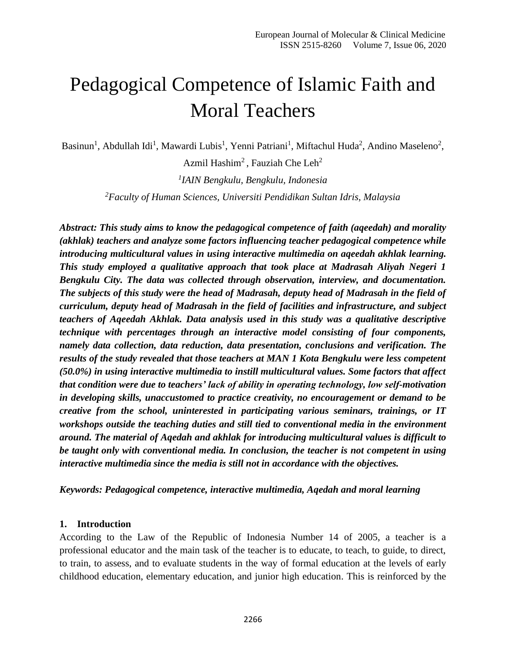# Pedagogical Competence of Islamic Faith and Moral Teachers

Basinun<sup>1</sup>, Abdullah Idi<sup>1</sup>, Mawardi Lubis<sup>1</sup>, Yenni Patriani<sup>1</sup>, Miftachul Huda<sup>2</sup>, Andino Maseleno<sup>2</sup>,

Azmil Hashim<sup>2</sup>, Fauziah Che Leh<sup>2</sup> *1 IAIN Bengkulu, Bengkulu, Indonesia*

*<sup>2</sup>Faculty of Human Sciences, Universiti Pendidikan Sultan Idris, Malaysia*

*Abstract: This study aims to know the pedagogical competence of faith (aqeedah) and morality (akhlak) teachers and analyze some factors influencing teacher pedagogical competence while introducing multicultural values in using interactive multimedia on aqeedah akhlak learning. This study employed a qualitative approach that took place at Madrasah Aliyah Negeri 1 Bengkulu City. The data was collected through observation, interview, and documentation. The subjects of this study were the head of Madrasah, deputy head of Madrasah in the field of curriculum, deputy head of Madrasah in the field of facilities and infrastructure, and subject teachers of Aqeedah Akhlak. Data analysis used in this study was a qualitative descriptive technique with percentages through an interactive model consisting of four components, namely data collection, data reduction, data presentation, conclusions and verification. The results of the study revealed that those teachers at MAN 1 Kota Bengkulu were less competent (50.0%) in using interactive multimedia to instill multicultural values. Some factors that affect that condition were due to teachers' lack of ability in operating technology, low self-motivation in developing skills, unaccustomed to practice creativity, no encouragement or demand to be creative from the school, uninterested in participating various seminars, trainings, or IT workshops outside the teaching duties and still tied to conventional media in the environment around. The material of Aqedah and akhlak for introducing multicultural values is difficult to be taught only with conventional media. In conclusion, the teacher is not competent in using interactive multimedia since the media is still not in accordance with the objectives.*

*Keywords: Pedagogical competence, interactive multimedia, Aqedah and moral learning*

### **1. Introduction**

According to the Law of the Republic of Indonesia Number 14 of 2005, a teacher is a professional educator and the main task of the teacher is to educate, to teach, to guide, to direct, to train, to assess, and to evaluate students in the way of formal education at the levels of early childhood education, elementary education, and junior high education. This is reinforced by the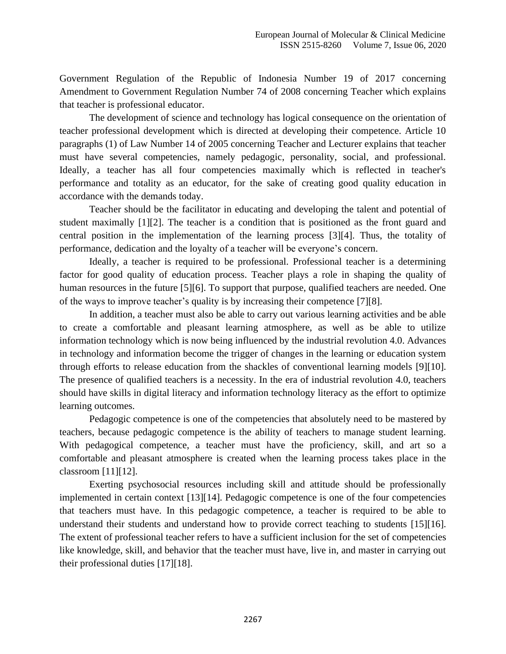Government Regulation of the Republic of Indonesia Number 19 of 2017 concerning Amendment to Government Regulation Number 74 of 2008 concerning Teacher which explains that teacher is professional educator.

The development of science and technology has logical consequence on the orientation of teacher professional development which is directed at developing their competence. Article 10 paragraphs (1) of Law Number 14 of 2005 concerning Teacher and Lecturer explains that teacher must have several competencies, namely pedagogic, personality, social, and professional. Ideally, a teacher has all four competencies maximally which is reflected in teacher's performance and totality as an educator, for the sake of creating good quality education in accordance with the demands today.

Teacher should be the facilitator in educating and developing the talent and potential of student maximally [1][2]. The teacher is a condition that is positioned as the front guard and central position in the implementation of the learning process [3][4]. Thus, the totality of performance, dedication and the loyalty of a teacher will be everyone's concern.

Ideally, a teacher is required to be professional. Professional teacher is a determining factor for good quality of education process. Teacher plays a role in shaping the quality of human resources in the future [5][6]. To support that purpose, qualified teachers are needed. One of the ways to improve teacher's quality is by increasing their competence [7][8].

In addition, a teacher must also be able to carry out various learning activities and be able to create a comfortable and pleasant learning atmosphere, as well as be able to utilize information technology which is now being influenced by the industrial revolution 4.0. Advances in technology and information become the trigger of changes in the learning or education system through efforts to release education from the shackles of conventional learning models [9][10]. The presence of qualified teachers is a necessity. In the era of industrial revolution 4.0, teachers should have skills in digital literacy and information technology literacy as the effort to optimize learning outcomes.

Pedagogic competence is one of the competencies that absolutely need to be mastered by teachers, because pedagogic competence is the ability of teachers to manage student learning. With pedagogical competence, a teacher must have the proficiency, skill, and art so a comfortable and pleasant atmosphere is created when the learning process takes place in the classroom [11][12].

Exerting psychosocial resources including skill and attitude should be professionally implemented in certain context [13][14]. Pedagogic competence is one of the four competencies that teachers must have. In this pedagogic competence, a teacher is required to be able to understand their students and understand how to provide correct teaching to students [15][16]. The extent of professional teacher refers to have a sufficient inclusion for the set of competencies like knowledge, skill, and behavior that the teacher must have, live in, and master in carrying out their professional duties [17][18].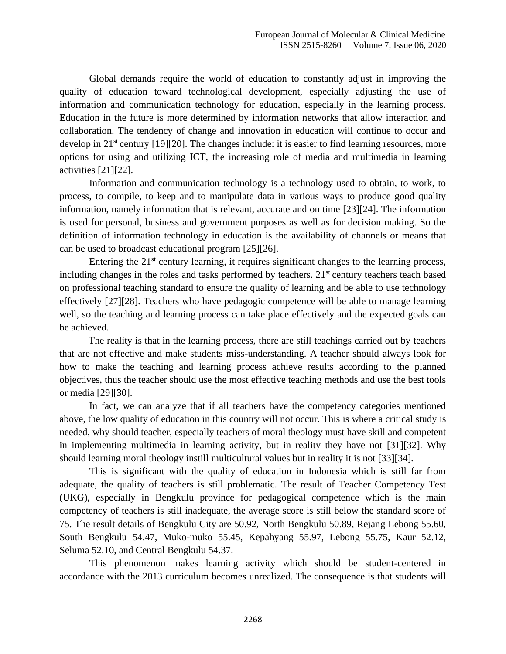Global demands require the world of education to constantly adjust in improving the quality of education toward technological development, especially adjusting the use of information and communication technology for education, especially in the learning process. Education in the future is more determined by information networks that allow interaction and collaboration. The tendency of change and innovation in education will continue to occur and develop in 21<sup>st</sup> century [19][20]. The changes include: it is easier to find learning resources, more options for using and utilizing ICT, the increasing role of media and multimedia in learning activities [21][22].

Information and communication technology is a technology used to obtain, to work, to process, to compile, to keep and to manipulate data in various ways to produce good quality information, namely information that is relevant, accurate and on time [23][24]. The information is used for personal, business and government purposes as well as for decision making. So the definition of information technology in education is the availability of channels or means that can be used to broadcast educational program [25][26].

Entering the  $21<sup>st</sup>$  century learning, it requires significant changes to the learning process, including changes in the roles and tasks performed by teachers.  $21<sup>st</sup>$  century teachers teach based on professional teaching standard to ensure the quality of learning and be able to use technology effectively [27][28]. Teachers who have pedagogic competence will be able to manage learning well, so the teaching and learning process can take place effectively and the expected goals can be achieved.

The reality is that in the learning process, there are still teachings carried out by teachers that are not effective and make students miss-understanding. A teacher should always look for how to make the teaching and learning process achieve results according to the planned objectives, thus the teacher should use the most effective teaching methods and use the best tools or media [29][30].

In fact, we can analyze that if all teachers have the competency categories mentioned above, the low quality of education in this country will not occur. This is where a critical study is needed, why should teacher, especially teachers of moral theology must have skill and competent in implementing multimedia in learning activity, but in reality they have not [31][32]. Why should learning moral theology instill multicultural values but in reality it is not [33][34].

This is significant with the quality of education in Indonesia which is still far from adequate, the quality of teachers is still problematic. The result of Teacher Competency Test (UKG), especially in Bengkulu province for pedagogical competence which is the main competency of teachers is still inadequate, the average score is still below the standard score of 75. The result details of Bengkulu City are 50.92, North Bengkulu 50.89, Rejang Lebong 55.60, South Bengkulu 54.47, Muko-muko 55.45, Kepahyang 55.97, Lebong 55.75, Kaur 52.12, Seluma 52.10, and Central Bengkulu 54.37.

This phenomenon makes learning activity which should be student-centered in accordance with the 2013 curriculum becomes unrealized. The consequence is that students will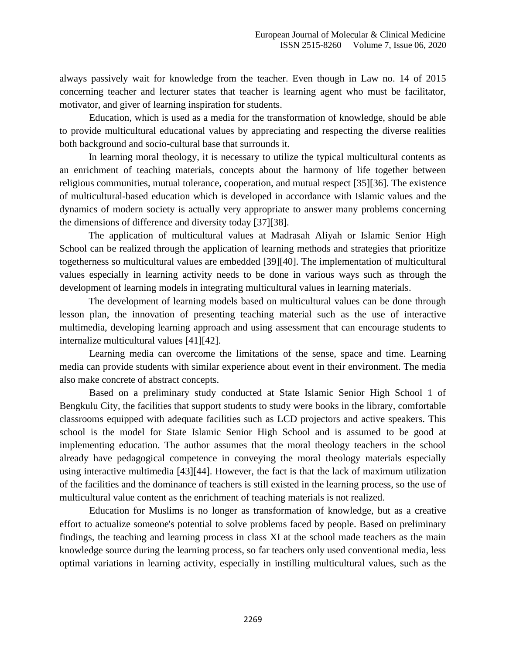always passively wait for knowledge from the teacher. Even though in Law no. 14 of 2015 concerning teacher and lecturer states that teacher is learning agent who must be facilitator, motivator, and giver of learning inspiration for students.

Education, which is used as a media for the transformation of knowledge, should be able to provide multicultural educational values by appreciating and respecting the diverse realities both background and socio-cultural base that surrounds it.

In learning moral theology, it is necessary to utilize the typical multicultural contents as an enrichment of teaching materials, concepts about the harmony of life together between religious communities, mutual tolerance, cooperation, and mutual respect [35][36]. The existence of multicultural-based education which is developed in accordance with Islamic values and the dynamics of modern society is actually very appropriate to answer many problems concerning the dimensions of difference and diversity today [37][38].

The application of multicultural values at Madrasah Aliyah or Islamic Senior High School can be realized through the application of learning methods and strategies that prioritize togetherness so multicultural values are embedded [39][40]. The implementation of multicultural values especially in learning activity needs to be done in various ways such as through the development of learning models in integrating multicultural values in learning materials.

The development of learning models based on multicultural values can be done through lesson plan, the innovation of presenting teaching material such as the use of interactive multimedia, developing learning approach and using assessment that can encourage students to internalize multicultural values [41][42].

Learning media can overcome the limitations of the sense, space and time. Learning media can provide students with similar experience about event in their environment. The media also make concrete of abstract concepts.

Based on a preliminary study conducted at State Islamic Senior High School 1 of Bengkulu City, the facilities that support students to study were books in the library, comfortable classrooms equipped with adequate facilities such as LCD projectors and active speakers. This school is the model for State Islamic Senior High School and is assumed to be good at implementing education. The author assumes that the moral theology teachers in the school already have pedagogical competence in conveying the moral theology materials especially using interactive multimedia [43][44]. However, the fact is that the lack of maximum utilization of the facilities and the dominance of teachers is still existed in the learning process, so the use of multicultural value content as the enrichment of teaching materials is not realized.

Education for Muslims is no longer as transformation of knowledge, but as a creative effort to actualize someone's potential to solve problems faced by people. Based on preliminary findings, the teaching and learning process in class XI at the school made teachers as the main knowledge source during the learning process, so far teachers only used conventional media, less optimal variations in learning activity, especially in instilling multicultural values, such as the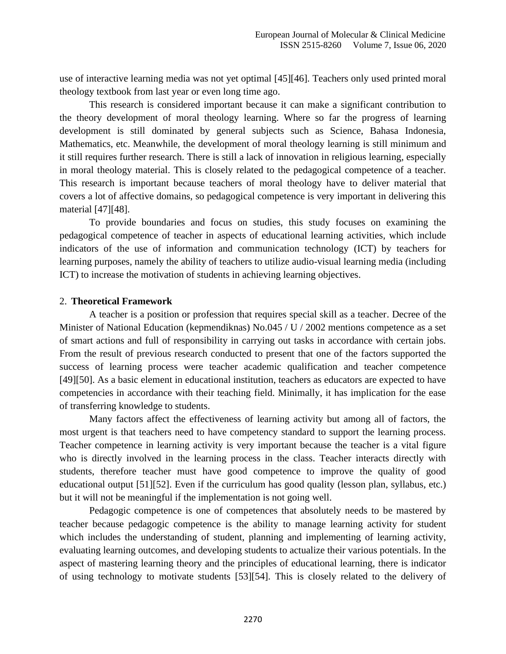use of interactive learning media was not yet optimal [45][46]. Teachers only used printed moral theology textbook from last year or even long time ago.

This research is considered important because it can make a significant contribution to the theory development of moral theology learning. Where so far the progress of learning development is still dominated by general subjects such as Science, Bahasa Indonesia, Mathematics, etc. Meanwhile, the development of moral theology learning is still minimum and it still requires further research. There is still a lack of innovation in religious learning, especially in moral theology material. This is closely related to the pedagogical competence of a teacher. This research is important because teachers of moral theology have to deliver material that covers a lot of affective domains, so pedagogical competence is very important in delivering this material [47][48].

To provide boundaries and focus on studies, this study focuses on examining the pedagogical competence of teacher in aspects of educational learning activities, which include indicators of the use of information and communication technology (ICT) by teachers for learning purposes, namely the ability of teachers to utilize audio-visual learning media (including ICT) to increase the motivation of students in achieving learning objectives.

#### 2. **Theoretical Framework**

A teacher is a position or profession that requires special skill as a teacher. Decree of the Minister of National Education (kepmendiknas) No.045 / U / 2002 mentions competence as a set of smart actions and full of responsibility in carrying out tasks in accordance with certain jobs. From the result of previous research conducted to present that one of the factors supported the success of learning process were teacher academic qualification and teacher competence [49][50]. As a basic element in educational institution, teachers as educators are expected to have competencies in accordance with their teaching field. Minimally, it has implication for the ease of transferring knowledge to students.

Many factors affect the effectiveness of learning activity but among all of factors, the most urgent is that teachers need to have competency standard to support the learning process. Teacher competence in learning activity is very important because the teacher is a vital figure who is directly involved in the learning process in the class. Teacher interacts directly with students, therefore teacher must have good competence to improve the quality of good educational output [51][52]. Even if the curriculum has good quality (lesson plan, syllabus, etc.) but it will not be meaningful if the implementation is not going well.

Pedagogic competence is one of competences that absolutely needs to be mastered by teacher because pedagogic competence is the ability to manage learning activity for student which includes the understanding of student, planning and implementing of learning activity, evaluating learning outcomes, and developing students to actualize their various potentials. In the aspect of mastering learning theory and the principles of educational learning, there is indicator of using technology to motivate students [53][54]. This is closely related to the delivery of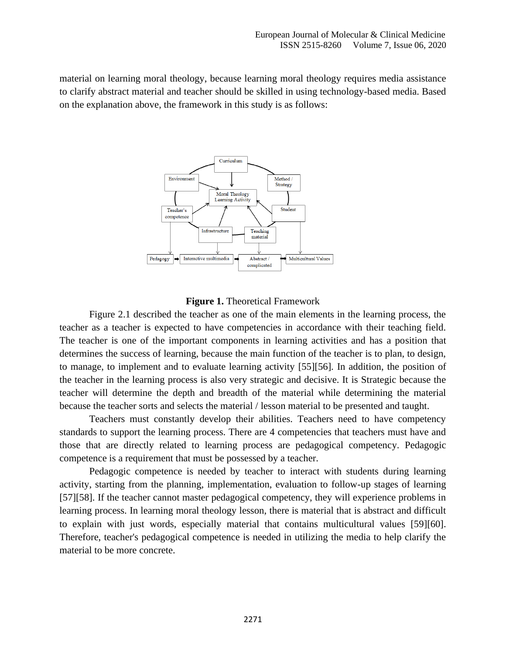material on learning moral theology, because learning moral theology requires media assistance to clarify abstract material and teacher should be skilled in using technology-based media. Based on the explanation above, the framework in this study is as follows:



#### **Figure 1.** Theoretical Framework

Figure 2.1 described the teacher as one of the main elements in the learning process, the teacher as a teacher is expected to have competencies in accordance with their teaching field. The teacher is one of the important components in learning activities and has a position that determines the success of learning, because the main function of the teacher is to plan, to design, to manage, to implement and to evaluate learning activity [55][56]. In addition, the position of the teacher in the learning process is also very strategic and decisive. It is Strategic because the teacher will determine the depth and breadth of the material while determining the material because the teacher sorts and selects the material / lesson material to be presented and taught.

Teachers must constantly develop their abilities. Teachers need to have competency standards to support the learning process. There are 4 competencies that teachers must have and those that are directly related to learning process are pedagogical competency. Pedagogic competence is a requirement that must be possessed by a teacher.

Pedagogic competence is needed by teacher to interact with students during learning activity, starting from the planning, implementation, evaluation to follow-up stages of learning [57][58]. If the teacher cannot master pedagogical competency, they will experience problems in learning process. In learning moral theology lesson, there is material that is abstract and difficult to explain with just words, especially material that contains multicultural values [59][60]. Therefore, teacher's pedagogical competence is needed in utilizing the media to help clarify the material to be more concrete.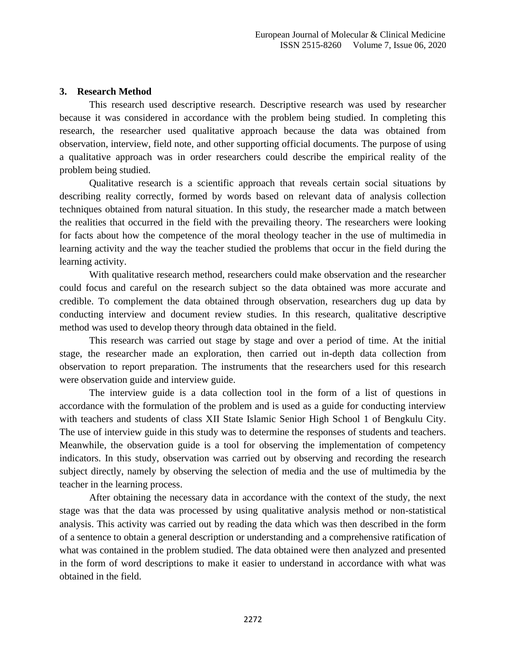## **3. Research Method**

This research used descriptive research. Descriptive research was used by researcher because it was considered in accordance with the problem being studied. In completing this research, the researcher used qualitative approach because the data was obtained from observation, interview, field note, and other supporting official documents. The purpose of using a qualitative approach was in order researchers could describe the empirical reality of the problem being studied.

Qualitative research is a scientific approach that reveals certain social situations by describing reality correctly, formed by words based on relevant data of analysis collection techniques obtained from natural situation. In this study, the researcher made a match between the realities that occurred in the field with the prevailing theory. The researchers were looking for facts about how the competence of the moral theology teacher in the use of multimedia in learning activity and the way the teacher studied the problems that occur in the field during the learning activity.

With qualitative research method, researchers could make observation and the researcher could focus and careful on the research subject so the data obtained was more accurate and credible. To complement the data obtained through observation, researchers dug up data by conducting interview and document review studies. In this research, qualitative descriptive method was used to develop theory through data obtained in the field.

This research was carried out stage by stage and over a period of time. At the initial stage, the researcher made an exploration, then carried out in-depth data collection from observation to report preparation. The instruments that the researchers used for this research were observation guide and interview guide.

The interview guide is a data collection tool in the form of a list of questions in accordance with the formulation of the problem and is used as a guide for conducting interview with teachers and students of class XII State Islamic Senior High School 1 of Bengkulu City. The use of interview guide in this study was to determine the responses of students and teachers. Meanwhile, the observation guide is a tool for observing the implementation of competency indicators. In this study, observation was carried out by observing and recording the research subject directly, namely by observing the selection of media and the use of multimedia by the teacher in the learning process.

After obtaining the necessary data in accordance with the context of the study, the next stage was that the data was processed by using qualitative analysis method or non-statistical analysis. This activity was carried out by reading the data which was then described in the form of a sentence to obtain a general description or understanding and a comprehensive ratification of what was contained in the problem studied. The data obtained were then analyzed and presented in the form of word descriptions to make it easier to understand in accordance with what was obtained in the field.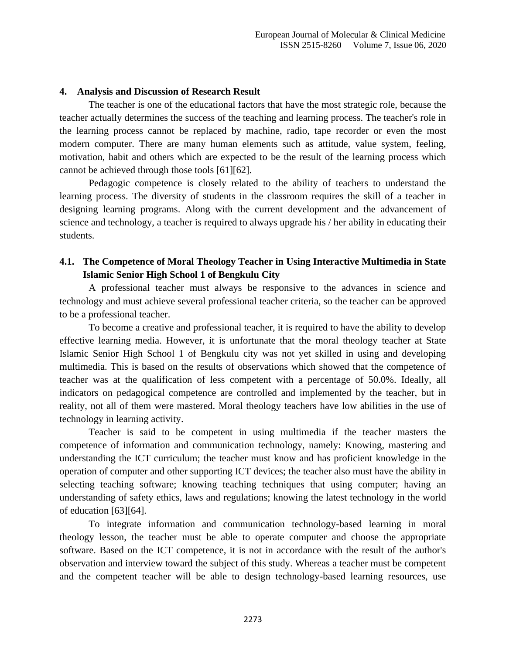## **4. Analysis and Discussion of Research Result**

The teacher is one of the educational factors that have the most strategic role, because the teacher actually determines the success of the teaching and learning process. The teacher's role in the learning process cannot be replaced by machine, radio, tape recorder or even the most modern computer. There are many human elements such as attitude, value system, feeling, motivation, habit and others which are expected to be the result of the learning process which cannot be achieved through those tools [61][62].

Pedagogic competence is closely related to the ability of teachers to understand the learning process. The diversity of students in the classroom requires the skill of a teacher in designing learning programs. Along with the current development and the advancement of science and technology, a teacher is required to always upgrade his / her ability in educating their students.

## **4.1. The Competence of Moral Theology Teacher in Using Interactive Multimedia in State Islamic Senior High School 1 of Bengkulu City**

A professional teacher must always be responsive to the advances in science and technology and must achieve several professional teacher criteria, so the teacher can be approved to be a professional teacher.

To become a creative and professional teacher, it is required to have the ability to develop effective learning media. However, it is unfortunate that the moral theology teacher at State Islamic Senior High School 1 of Bengkulu city was not yet skilled in using and developing multimedia. This is based on the results of observations which showed that the competence of teacher was at the qualification of less competent with a percentage of 50.0%. Ideally, all indicators on pedagogical competence are controlled and implemented by the teacher, but in reality, not all of them were mastered. Moral theology teachers have low abilities in the use of technology in learning activity.

Teacher is said to be competent in using multimedia if the teacher masters the competence of information and communication technology, namely: Knowing, mastering and understanding the ICT curriculum; the teacher must know and has proficient knowledge in the operation of computer and other supporting ICT devices; the teacher also must have the ability in selecting teaching software; knowing teaching techniques that using computer; having an understanding of safety ethics, laws and regulations; knowing the latest technology in the world of education [63][64].

To integrate information and communication technology-based learning in moral theology lesson, the teacher must be able to operate computer and choose the appropriate software. Based on the ICT competence, it is not in accordance with the result of the author's observation and interview toward the subject of this study. Whereas a teacher must be competent and the competent teacher will be able to design technology-based learning resources, use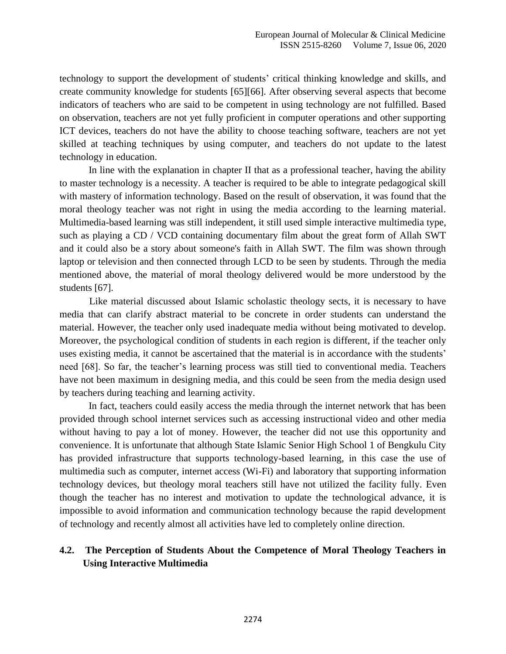technology to support the development of students' critical thinking knowledge and skills, and create community knowledge for students [65][66]. After observing several aspects that become indicators of teachers who are said to be competent in using technology are not fulfilled. Based on observation, teachers are not yet fully proficient in computer operations and other supporting ICT devices, teachers do not have the ability to choose teaching software, teachers are not yet skilled at teaching techniques by using computer, and teachers do not update to the latest technology in education.

In line with the explanation in chapter II that as a professional teacher, having the ability to master technology is a necessity. A teacher is required to be able to integrate pedagogical skill with mastery of information technology. Based on the result of observation, it was found that the moral theology teacher was not right in using the media according to the learning material. Multimedia-based learning was still independent, it still used simple interactive multimedia type, such as playing a CD / VCD containing documentary film about the great form of Allah SWT and it could also be a story about someone's faith in Allah SWT. The film was shown through laptop or television and then connected through LCD to be seen by students. Through the media mentioned above, the material of moral theology delivered would be more understood by the students [67].

Like material discussed about Islamic scholastic theology sects, it is necessary to have media that can clarify abstract material to be concrete in order students can understand the material. However, the teacher only used inadequate media without being motivated to develop. Moreover, the psychological condition of students in each region is different, if the teacher only uses existing media, it cannot be ascertained that the material is in accordance with the students' need [68]. So far, the teacher's learning process was still tied to conventional media. Teachers have not been maximum in designing media, and this could be seen from the media design used by teachers during teaching and learning activity.

In fact, teachers could easily access the media through the internet network that has been provided through school internet services such as accessing instructional video and other media without having to pay a lot of money. However, the teacher did not use this opportunity and convenience. It is unfortunate that although State Islamic Senior High School 1 of Bengkulu City has provided infrastructure that supports technology-based learning, in this case the use of multimedia such as computer, internet access (Wi-Fi) and laboratory that supporting information technology devices, but theology moral teachers still have not utilized the facility fully. Even though the teacher has no interest and motivation to update the technological advance, it is impossible to avoid information and communication technology because the rapid development of technology and recently almost all activities have led to completely online direction.

## **4.2. The Perception of Students About the Competence of Moral Theology Teachers in Using Interactive Multimedia**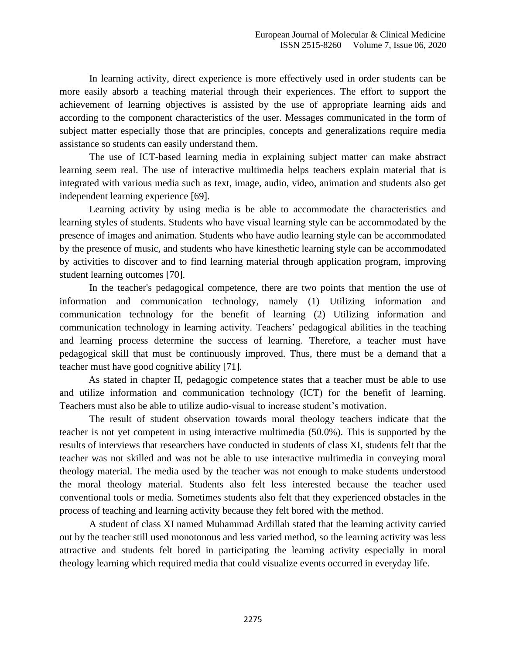In learning activity, direct experience is more effectively used in order students can be more easily absorb a teaching material through their experiences. The effort to support the achievement of learning objectives is assisted by the use of appropriate learning aids and according to the component characteristics of the user. Messages communicated in the form of subject matter especially those that are principles, concepts and generalizations require media assistance so students can easily understand them.

The use of ICT-based learning media in explaining subject matter can make abstract learning seem real. The use of interactive multimedia helps teachers explain material that is integrated with various media such as text, image, audio, video, animation and students also get independent learning experience [69].

Learning activity by using media is be able to accommodate the characteristics and learning styles of students. Students who have visual learning style can be accommodated by the presence of images and animation. Students who have audio learning style can be accommodated by the presence of music, and students who have kinesthetic learning style can be accommodated by activities to discover and to find learning material through application program, improving student learning outcomes [70].

In the teacher's pedagogical competence, there are two points that mention the use of information and communication technology, namely (1) Utilizing information and communication technology for the benefit of learning (2) Utilizing information and communication technology in learning activity. Teachers' pedagogical abilities in the teaching and learning process determine the success of learning. Therefore, a teacher must have pedagogical skill that must be continuously improved. Thus, there must be a demand that a teacher must have good cognitive ability [71].

As stated in chapter II, pedagogic competence states that a teacher must be able to use and utilize information and communication technology (ICT) for the benefit of learning. Teachers must also be able to utilize audio-visual to increase student's motivation.

The result of student observation towards moral theology teachers indicate that the teacher is not yet competent in using interactive multimedia (50.0%). This is supported by the results of interviews that researchers have conducted in students of class XI, students felt that the teacher was not skilled and was not be able to use interactive multimedia in conveying moral theology material. The media used by the teacher was not enough to make students understood the moral theology material. Students also felt less interested because the teacher used conventional tools or media. Sometimes students also felt that they experienced obstacles in the process of teaching and learning activity because they felt bored with the method.

A student of class XI named Muhammad Ardillah stated that the learning activity carried out by the teacher still used monotonous and less varied method, so the learning activity was less attractive and students felt bored in participating the learning activity especially in moral theology learning which required media that could visualize events occurred in everyday life.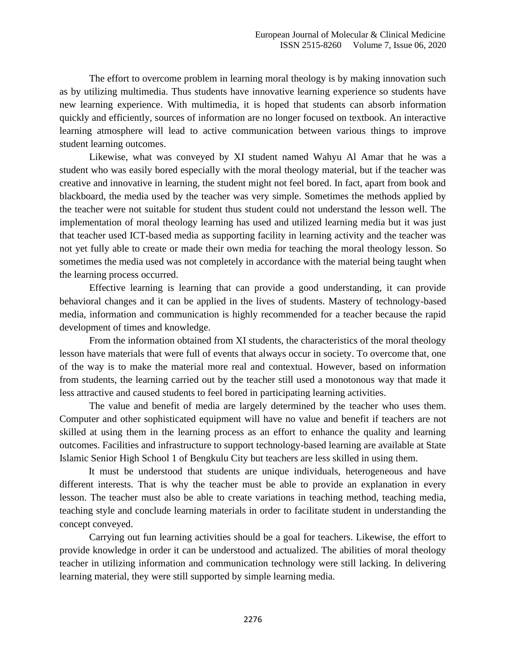The effort to overcome problem in learning moral theology is by making innovation such as by utilizing multimedia. Thus students have innovative learning experience so students have new learning experience. With multimedia, it is hoped that students can absorb information quickly and efficiently, sources of information are no longer focused on textbook. An interactive learning atmosphere will lead to active communication between various things to improve student learning outcomes.

Likewise, what was conveyed by XI student named Wahyu Al Amar that he was a student who was easily bored especially with the moral theology material, but if the teacher was creative and innovative in learning, the student might not feel bored. In fact, apart from book and blackboard, the media used by the teacher was very simple. Sometimes the methods applied by the teacher were not suitable for student thus student could not understand the lesson well. The implementation of moral theology learning has used and utilized learning media but it was just that teacher used ICT-based media as supporting facility in learning activity and the teacher was not yet fully able to create or made their own media for teaching the moral theology lesson. So sometimes the media used was not completely in accordance with the material being taught when the learning process occurred.

Effective learning is learning that can provide a good understanding, it can provide behavioral changes and it can be applied in the lives of students. Mastery of technology-based media, information and communication is highly recommended for a teacher because the rapid development of times and knowledge.

From the information obtained from XI students, the characteristics of the moral theology lesson have materials that were full of events that always occur in society. To overcome that, one of the way is to make the material more real and contextual. However, based on information from students, the learning carried out by the teacher still used a monotonous way that made it less attractive and caused students to feel bored in participating learning activities.

The value and benefit of media are largely determined by the teacher who uses them. Computer and other sophisticated equipment will have no value and benefit if teachers are not skilled at using them in the learning process as an effort to enhance the quality and learning outcomes. Facilities and infrastructure to support technology-based learning are available at State Islamic Senior High School 1 of Bengkulu City but teachers are less skilled in using them.

It must be understood that students are unique individuals, heterogeneous and have different interests. That is why the teacher must be able to provide an explanation in every lesson. The teacher must also be able to create variations in teaching method, teaching media, teaching style and conclude learning materials in order to facilitate student in understanding the concept conveyed.

Carrying out fun learning activities should be a goal for teachers. Likewise, the effort to provide knowledge in order it can be understood and actualized. The abilities of moral theology teacher in utilizing information and communication technology were still lacking. In delivering learning material, they were still supported by simple learning media.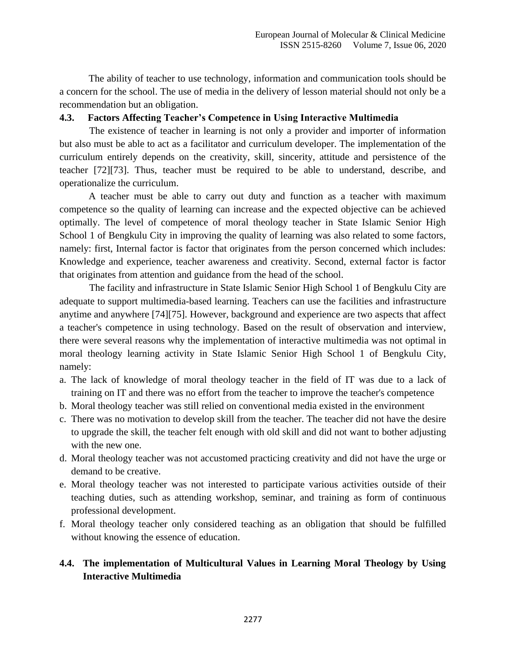The ability of teacher to use technology, information and communication tools should be a concern for the school. The use of media in the delivery of lesson material should not only be a recommendation but an obligation.

## **4.3. Factors Affecting Teacher's Competence in Using Interactive Multimedia**

The existence of teacher in learning is not only a provider and importer of information but also must be able to act as a facilitator and curriculum developer. The implementation of the curriculum entirely depends on the creativity, skill, sincerity, attitude and persistence of the teacher [72][73]. Thus, teacher must be required to be able to understand, describe, and operationalize the curriculum.

A teacher must be able to carry out duty and function as a teacher with maximum competence so the quality of learning can increase and the expected objective can be achieved optimally. The level of competence of moral theology teacher in State Islamic Senior High School 1 of Bengkulu City in improving the quality of learning was also related to some factors, namely: first, Internal factor is factor that originates from the person concerned which includes: Knowledge and experience, teacher awareness and creativity. Second, external factor is factor that originates from attention and guidance from the head of the school.

The facility and infrastructure in State Islamic Senior High School 1 of Bengkulu City are adequate to support multimedia-based learning. Teachers can use the facilities and infrastructure anytime and anywhere [74][75]. However, background and experience are two aspects that affect a teacher's competence in using technology. Based on the result of observation and interview, there were several reasons why the implementation of interactive multimedia was not optimal in moral theology learning activity in State Islamic Senior High School 1 of Bengkulu City, namely:

- a. The lack of knowledge of moral theology teacher in the field of IT was due to a lack of training on IT and there was no effort from the teacher to improve the teacher's competence
- b. Moral theology teacher was still relied on conventional media existed in the environment
- c. There was no motivation to develop skill from the teacher. The teacher did not have the desire to upgrade the skill, the teacher felt enough with old skill and did not want to bother adjusting with the new one.
- d. Moral theology teacher was not accustomed practicing creativity and did not have the urge or demand to be creative.
- e. Moral theology teacher was not interested to participate various activities outside of their teaching duties, such as attending workshop, seminar, and training as form of continuous professional development.
- f. Moral theology teacher only considered teaching as an obligation that should be fulfilled without knowing the essence of education.

# **4.4. The implementation of Multicultural Values in Learning Moral Theology by Using Interactive Multimedia**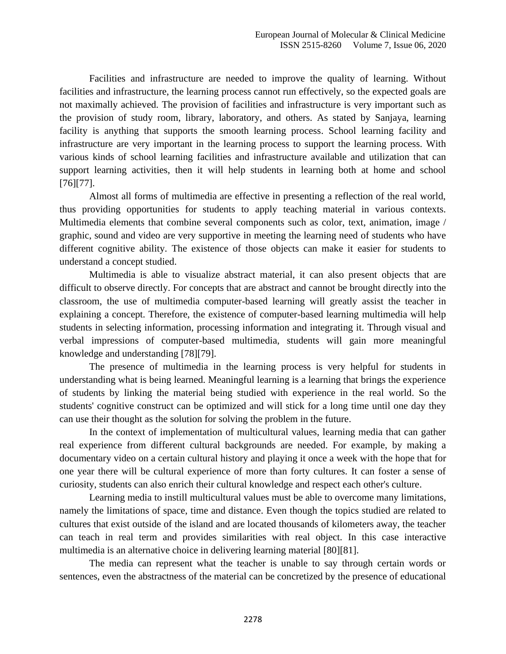Facilities and infrastructure are needed to improve the quality of learning. Without facilities and infrastructure, the learning process cannot run effectively, so the expected goals are not maximally achieved. The provision of facilities and infrastructure is very important such as the provision of study room, library, laboratory, and others. As stated by Sanjaya, learning facility is anything that supports the smooth learning process. School learning facility and infrastructure are very important in the learning process to support the learning process. With various kinds of school learning facilities and infrastructure available and utilization that can support learning activities, then it will help students in learning both at home and school [76][77].

Almost all forms of multimedia are effective in presenting a reflection of the real world, thus providing opportunities for students to apply teaching material in various contexts. Multimedia elements that combine several components such as color, text, animation, image / graphic, sound and video are very supportive in meeting the learning need of students who have different cognitive ability. The existence of those objects can make it easier for students to understand a concept studied.

Multimedia is able to visualize abstract material, it can also present objects that are difficult to observe directly. For concepts that are abstract and cannot be brought directly into the classroom, the use of multimedia computer-based learning will greatly assist the teacher in explaining a concept. Therefore, the existence of computer-based learning multimedia will help students in selecting information, processing information and integrating it. Through visual and verbal impressions of computer-based multimedia, students will gain more meaningful knowledge and understanding [78][79].

The presence of multimedia in the learning process is very helpful for students in understanding what is being learned. Meaningful learning is a learning that brings the experience of students by linking the material being studied with experience in the real world. So the students' cognitive construct can be optimized and will stick for a long time until one day they can use their thought as the solution for solving the problem in the future.

In the context of implementation of multicultural values, learning media that can gather real experience from different cultural backgrounds are needed. For example, by making a documentary video on a certain cultural history and playing it once a week with the hope that for one year there will be cultural experience of more than forty cultures. It can foster a sense of curiosity, students can also enrich their cultural knowledge and respect each other's culture.

Learning media to instill multicultural values must be able to overcome many limitations, namely the limitations of space, time and distance. Even though the topics studied are related to cultures that exist outside of the island and are located thousands of kilometers away, the teacher can teach in real term and provides similarities with real object. In this case interactive multimedia is an alternative choice in delivering learning material [80][81].

The media can represent what the teacher is unable to say through certain words or sentences, even the abstractness of the material can be concretized by the presence of educational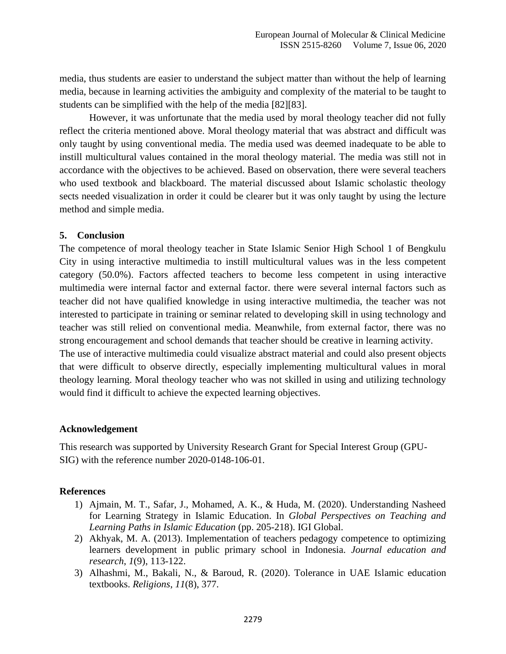media, thus students are easier to understand the subject matter than without the help of learning media, because in learning activities the ambiguity and complexity of the material to be taught to students can be simplified with the help of the media [82][83].

However, it was unfortunate that the media used by moral theology teacher did not fully reflect the criteria mentioned above. Moral theology material that was abstract and difficult was only taught by using conventional media. The media used was deemed inadequate to be able to instill multicultural values contained in the moral theology material. The media was still not in accordance with the objectives to be achieved. Based on observation, there were several teachers who used textbook and blackboard. The material discussed about Islamic scholastic theology sects needed visualization in order it could be clearer but it was only taught by using the lecture method and simple media.

### **5. Conclusion**

The competence of moral theology teacher in State Islamic Senior High School 1 of Bengkulu City in using interactive multimedia to instill multicultural values was in the less competent category (50.0%). Factors affected teachers to become less competent in using interactive multimedia were internal factor and external factor. there were several internal factors such as teacher did not have qualified knowledge in using interactive multimedia, the teacher was not interested to participate in training or seminar related to developing skill in using technology and teacher was still relied on conventional media. Meanwhile, from external factor, there was no strong encouragement and school demands that teacher should be creative in learning activity. The use of interactive multimedia could visualize abstract material and could also present objects that were difficult to observe directly, especially implementing multicultural values in moral theology learning. Moral theology teacher who was not skilled in using and utilizing technology

# **Acknowledgement**

This research was supported by University Research Grant for Special Interest Group (GPU-SIG) with the reference number 2020-0148-106-01.

would find it difficult to achieve the expected learning objectives.

### **References**

- 1) Ajmain, M. T., Safar, J., Mohamed, A. K., & Huda, M. (2020). Understanding Nasheed for Learning Strategy in Islamic Education. In *Global Perspectives on Teaching and Learning Paths in Islamic Education* (pp. 205-218). IGI Global.
- 2) Akhyak, M. A. (2013). Implementation of teachers pedagogy competence to optimizing learners development in public primary school in Indonesia. *Journal education and research*, *1*(9), 113-122.
- 3) Alhashmi, M., Bakali, N., & Baroud, R. (2020). Tolerance in UAE Islamic education textbooks. *Religions*, *11*(8), 377.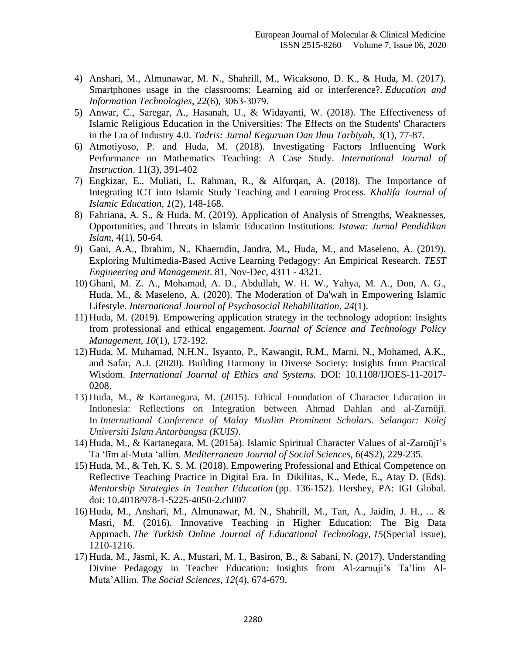- 4) Anshari, M., Almunawar, M. N., Shahrill, M., Wicaksono, D. K., & Huda, M. (2017). Smartphones usage in the classrooms: Learning aid or interference?. *Education and Information Technologies*, 22(6), 3063-3079.
- 5) Anwar, C., Saregar, A., Hasanah, U., & Widayanti, W. (2018). The Effectiveness of Islamic Religious Education in the Universities: The Effects on the Students' Characters in the Era of Industry 4.0. *Tadris: Jurnal Keguruan Dan Ilmu Tarbiyah*, *3*(1), 77-87.
- 6) Atmotiyoso, P. and Huda, M. (2018). Investigating Factors Influencing Work Performance on Mathematics Teaching: A Case Study. *International Journal of Instruction*. 11(3), 391-402
- 7) Engkizar, E., Muliati, I., Rahman, R., & Alfurqan, A. (2018). The Importance of Integrating ICT into Islamic Study Teaching and Learning Process. *Khalifa Journal of Islamic Education*, *1*(2), 148-168.
- 8) Fahriana, A. S., & Huda, M. (2019). Application of Analysis of Strengths, Weaknesses, Opportunities, and Threats in Islamic Education Institutions. *Istawa: Jurnal Pendidikan Islam*, 4(1), 50-64.
- 9) Gani, A.A., Ibrahim, N., Khaerudin, Jandra, M., Huda, M., and Maseleno, A. (2019). Exploring Multimedia-Based Active Learning Pedagogy: An Empirical Research. *TEST Engineering and Management*. 81, Nov-Dec, 4311 - 4321.
- 10) Ghani, M. Z. A., Mohamad, A. D., Abdullah, W. H. W., Yahya, M. A., Don, A. G., Huda, M., & Maseleno, A. (2020). The Moderation of Da'wah in Empowering Islamic Lifestyle. *International Journal of Psychosocial Rehabilitation*, *24*(1).
- 11) Huda, M. (2019). Empowering application strategy in the technology adoption: insights from professional and ethical engagement. *Journal of Science and Technology Policy Management*, *10*(1), 172-192.
- 12) Huda, M. Muhamad, N.H.N., Isyanto, P., Kawangit, R.M., Marni, N., Mohamed, A.K., and Safar, A.J. (2020). Building Harmony in Diverse Society: Insights from Practical Wisdom. *International Journal of Ethics and Systems.* DOI: 10.1108/IJOES-11-2017- 0208.
- 13) Huda, M., & Kartanegara, M. (2015). Ethical Foundation of Character Education in Indonesia: Reflections on Integration between Ahmad Dahlan and al-Zarnūjī. In *International Conference of Malay Muslim Prominent Scholars. Selangor: Kolej Universiti Islam Antarbangsa (KUIS)*.
- 14) Huda, M., & Kartanegara, M. (2015a). Islamic Spiritual Character Values of al-Zarnūjī's Ta 'līm al-Muta 'allim. *Mediterranean Journal of Social Sciences*, *6*(4S2), 229-235.
- 15) Huda, M., & Teh, K. S. M. (2018). Empowering Professional and Ethical Competence on Reflective Teaching Practice in Digital Era. In Dikilitas, K., Mede, E., Atay D. (Eds). *Mentorship Strategies in Teacher Education* (pp. 136-152). Hershey, PA: IGI Global. doi: 10.4018/978-1-5225-4050-2.ch007
- 16) Huda, M., Anshari, M., Almunawar, M. N., Shahrill, M., Tan, A., Jaidin, J. H., ... & Masri, M. (2016). Innovative Teaching in Higher Education: The Big Data Approach. *The Turkish Online Journal of Educational Technology*, *15*(Special issue), 1210-1216.
- 17) Huda, M., Jasmi, K. A., Mustari, M. I., Basiron, B., & Sabani, N. (2017). Understanding Divine Pedagogy in Teacher Education: Insights from Al-zarnuji's Ta'lim Al-Muta'Allim. *The Social Sciences*, *12*(4), 674-679.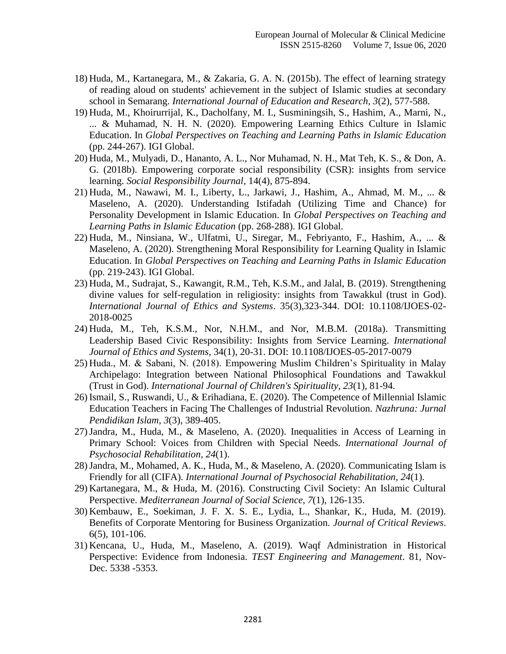- 18) Huda, M., Kartanegara, M., & Zakaria, G. A. N. (2015b). The effect of learning strategy of reading aloud on students' achievement in the subject of Islamic studies at secondary school in Semarang. *International Journal of Education and Research*, *3*(2), 577-588.
- 19) Huda, M., Khoirurrijal, K., Dacholfany, M. I., Susminingsih, S., Hashim, A., Marni, N., ... & Muhamad, N. H. N. (2020). Empowering Learning Ethics Culture in Islamic Education. In *Global Perspectives on Teaching and Learning Paths in Islamic Education* (pp. 244-267). IGI Global.
- 20) Huda, M., Mulyadi, D., Hananto, A. L., Nor Muhamad, N. H., Mat Teh, K. S., & Don, A. G. (2018b). Empowering corporate social responsibility (CSR): insights from service learning. *Social Responsibility Journal*, 14(4), 875-894.
- 21) Huda, M., Nawawi, M. I., Liberty, L., Jarkawi, J., Hashim, A., Ahmad, M. M., ... & Maseleno, A. (2020). Understanding Istifadah (Utilizing Time and Chance) for Personality Development in Islamic Education. In *Global Perspectives on Teaching and Learning Paths in Islamic Education* (pp. 268-288). IGI Global.
- 22) Huda, M., Ninsiana, W., Ulfatmi, U., Siregar, M., Febriyanto, F., Hashim, A., ... & Maseleno, A. (2020). Strengthening Moral Responsibility for Learning Quality in Islamic Education. In *Global Perspectives on Teaching and Learning Paths in Islamic Education* (pp. 219-243). IGI Global.
- 23) Huda, M., Sudrajat, S., Kawangit, R.M., Teh, K.S.M., and Jalal, B. (2019). Strengthening divine values for self-regulation in religiosity: insights from Tawakkul (trust in God). *International Journal of Ethics and Systems*. 35(3),323-344. DOI: 10.1108/IJOES-02- 2018-0025
- 24) Huda, M., Teh, K.S.M., Nor, N.H.M., and Nor, M.B.M. (2018a). Transmitting Leadership Based Civic Responsibility: Insights from Service Learning. *International Journal of Ethics and Systems*, 34(1), 20-31. DOI: 10.1108/IJOES-05-2017-0079
- 25) Huda., M. & Sabani, N. (2018). Empowering Muslim Children's Spirituality in Malay Archipelago: Integration between National Philosophical Foundations and Tawakkul (Trust in God). *International Journal of Children's Spirituality, 23*(1)*,* 81-94.
- 26) Ismail, S., Ruswandi, U., & Erihadiana, E. (2020). The Competence of Millennial Islamic Education Teachers in Facing The Challenges of Industrial Revolution. *Nazhruna: Jurnal Pendidikan Islam*, *3*(3), 389-405.
- 27)Jandra, M., Huda, M., & Maseleno, A. (2020). Inequalities in Access of Learning in Primary School: Voices from Children with Special Needs. *International Journal of Psychosocial Rehabilitation*, *24*(1).
- 28)Jandra, M., Mohamed, A. K., Huda, M., & Maseleno, A. (2020). Communicating Islam is Friendly for all (CIFA). *International Journal of Psychosocial Rehabilitation*, *24*(1).
- 29) Kartanegara, M., & Huda, M. (2016). Constructing Civil Society: An Islamic Cultural Perspective. *Mediterranean Journal of Social Science*, *7*(1), 126-135.
- 30) Kembauw, E., Soekiman, J. F. X. S. E., Lydia, L., Shankar, K., Huda, M. (2019). Benefits of Corporate Mentoring for Business Organization. *Journal of Critical Reviews*. 6(5), 101-106.
- 31) Kencana, U., Huda, M., Maseleno, A. (2019). Waqf Administration in Historical Perspective: Evidence from Indonesia. *TEST Engineering and Management*. 81, Nov-Dec. 5338 -5353.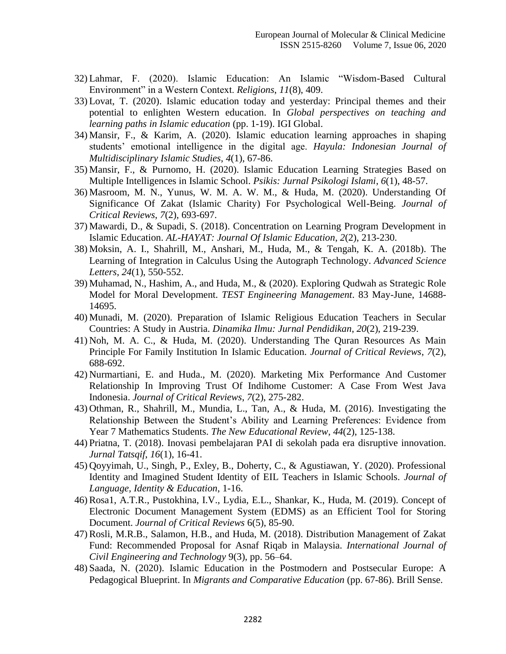- 32) Lahmar, F. (2020). Islamic Education: An Islamic "Wisdom-Based Cultural Environment" in a Western Context. *Religions*, *11*(8), 409.
- 33) Lovat, T. (2020). Islamic education today and yesterday: Principal themes and their potential to enlighten Western education. In *Global perspectives on teaching and learning paths in Islamic education* (pp. 1-19). IGI Global.
- 34) Mansir, F., & Karim, A. (2020). Islamic education learning approaches in shaping students' emotional intelligence in the digital age. *Hayula: Indonesian Journal of Multidisciplinary Islamic Studies*, *4*(1), 67-86.
- 35) Mansir, F., & Purnomo, H. (2020). Islamic Education Learning Strategies Based on Multiple Intelligences in Islamic School. *Psikis: Jurnal Psikologi Islami*, *6*(1), 48-57.
- 36) Masroom, M. N., Yunus, W. M. A. W. M., & Huda, M. (2020). Understanding Of Significance Of Zakat (Islamic Charity) For Psychological Well-Being. *Journal of Critical Reviews*, *7*(2), 693-697.
- 37) Mawardi, D., & Supadi, S. (2018). Concentration on Learning Program Development in Islamic Education. *AL-HAYAT: Journal Of Islamic Education*, *2*(2), 213-230.
- 38) Moksin, A. I., Shahrill, M., Anshari, M., Huda, M., & Tengah, K. A. (2018b). The Learning of Integration in Calculus Using the Autograph Technology. *Advanced Science Letters*, *24*(1), 550-552.
- 39) Muhamad, N., Hashim, A., and Huda, M., & (2020). Exploring Qudwah as Strategic Role Model for Moral Development. *TEST Engineering Management*. 83 May-June, 14688- 14695.
- 40) Munadi, M. (2020). Preparation of Islamic Religious Education Teachers in Secular Countries: A Study in Austria. *Dinamika Ilmu: Jurnal Pendidikan*, *20*(2), 219-239.
- 41) Noh, M. A. C., & Huda, M. (2020). Understanding The Quran Resources As Main Principle For Family Institution In Islamic Education. *Journal of Critical Reviews*, *7*(2), 688-692.
- 42) Nurmartiani, E. and Huda., M. (2020). Marketing Mix Performance And Customer Relationship In Improving Trust Of Indihome Customer: A Case From West Java Indonesia. *Journal of Critical Reviews*, *7*(2), 275-282.
- 43) Othman, R., Shahrill, M., Mundia, L., Tan, A., & Huda, M. (2016). Investigating the Relationship Between the Student's Ability and Learning Preferences: Evidence from Year 7 Mathematics Students. *The New Educational Review*, *44*(2), 125-138.
- 44) Priatna, T. (2018). Inovasi pembelajaran PAI di sekolah pada era disruptive innovation. *Jurnal Tatsqif*, *16*(1), 16-41.
- 45) Qoyyimah, U., Singh, P., Exley, B., Doherty, C., & Agustiawan, Y. (2020). Professional Identity and Imagined Student Identity of EIL Teachers in Islamic Schools. *Journal of Language, Identity & Education*, 1-16.
- 46)Rosa1, A.T.R., Pustokhina, I.V., Lydia, E.L., Shankar, K., Huda, M. (2019). Concept of Electronic Document Management System (EDMS) as an Efficient Tool for Storing Document. *Journal of Critical Reviews* 6(5), 85-90.
- 47)Rosli, M.R.B., Salamon, H.B., and Huda, M. (2018). Distribution Management of Zakat Fund: Recommended Proposal for Asnaf Riqab in Malaysia. *International Journal of Civil Engineering and Technology* 9(3), pp. 56–64.
- 48) Saada, N. (2020). Islamic Education in the Postmodern and Postsecular Europe: A Pedagogical Blueprint. In *Migrants and Comparative Education* (pp. 67-86). Brill Sense.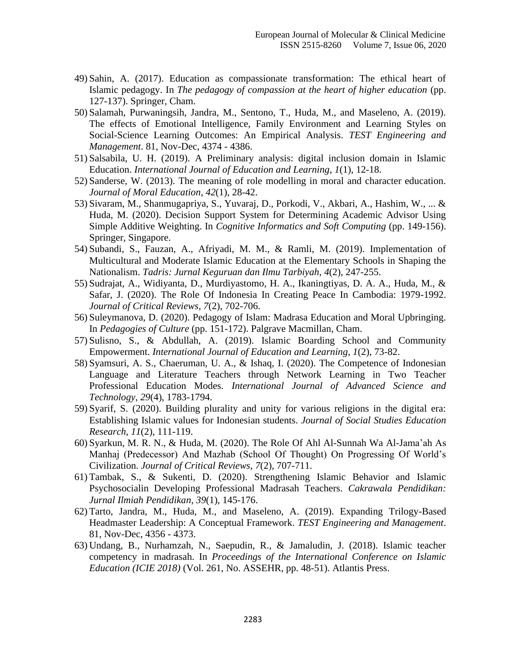- 49) Sahin, A. (2017). Education as compassionate transformation: The ethical heart of Islamic pedagogy. In *The pedagogy of compassion at the heart of higher education* (pp. 127-137). Springer, Cham.
- 50) Salamah, Purwaningsih, Jandra, M., Sentono, T., Huda, M., and Maseleno, A. (2019). The effects of Emotional Intelligence, Family Environment and Learning Styles on Social-Science Learning Outcomes: An Empirical Analysis. *TEST Engineering and Management*. 81, Nov-Dec, 4374 - 4386.
- 51) Salsabila, U. H. (2019). A Preliminary analysis: digital inclusion domain in Islamic Education. *International Journal of Education and Learning*, *1*(1), 12-18.
- 52) Sanderse, W. (2013). The meaning of role modelling in moral and character education. *Journal of Moral Education*, *42*(1), 28-42.
- 53) Sivaram, M., Shanmugapriya, S., Yuvaraj, D., Porkodi, V., Akbari, A., Hashim, W., ... & Huda, M. (2020). Decision Support System for Determining Academic Advisor Using Simple Additive Weighting. In *Cognitive Informatics and Soft Computing* (pp. 149-156). Springer, Singapore.
- 54) Subandi, S., Fauzan, A., Afriyadi, M. M., & Ramli, M. (2019). Implementation of Multicultural and Moderate Islamic Education at the Elementary Schools in Shaping the Nationalism. *Tadris: Jurnal Keguruan dan Ilmu Tarbiyah*, *4*(2), 247-255.
- 55) Sudrajat, A., Widiyanta, D., Murdiyastomo, H. A., Ikaningtiyas, D. A. A., Huda, M., & Safar, J. (2020). The Role Of Indonesia In Creating Peace In Cambodia: 1979-1992. *Journal of Critical Reviews*, *7*(2), 702-706.
- 56) Suleymanova, D. (2020). Pedagogy of Islam: Madrasa Education and Moral Upbringing. In *Pedagogies of Culture* (pp. 151-172). Palgrave Macmillan, Cham.
- 57) Sulisno, S., & Abdullah, A. (2019). Islamic Boarding School and Community Empowerment. *International Journal of Education and Learning*, *1*(2), 73-82.
- 58) Syamsuri, A. S., Chaeruman, U. A., & Ishaq, I. (2020). The Competence of Indonesian Language and Literature Teachers through Network Learning in Two Teacher Professional Education Modes. *International Journal of Advanced Science and Technology*, *29*(4), 1783-1794.
- 59) Syarif, S. (2020). Building plurality and unity for various religions in the digital era: Establishing Islamic values for Indonesian students. *Journal of Social Studies Education Research*, *11*(2), 111-119.
- 60) Syarkun, M. R. N., & Huda, M. (2020). The Role Of Ahl Al-Sunnah Wa Al-Jama'ah As Manhaj (Predecessor) And Mazhab (School Of Thought) On Progressing Of World's Civilization. *Journal of Critical Reviews*, *7*(2), 707-711.
- 61) Tambak, S., & Sukenti, D. (2020). Strengthening Islamic Behavior and Islamic Psychosocialin Developing Professional Madrasah Teachers. *Cakrawala Pendidikan: Jurnal Ilmiah Pendidikan*, *39*(1), 145-176.
- 62) Tarto, Jandra, M., Huda, M., and Maseleno, A. (2019). Expanding Trilogy-Based Headmaster Leadership: A Conceptual Framework. *TEST Engineering and Management*. 81, Nov-Dec, 4356 - 4373.
- 63) Undang, B., Nurhamzah, N., Saepudin, R., & Jamaludin, J. (2018). Islamic teacher competency in madrasah. In *Proceedings of the International Conference on Islamic Education (ICIE 2018)* (Vol. 261, No. ASSEHR, pp. 48-51). Atlantis Press.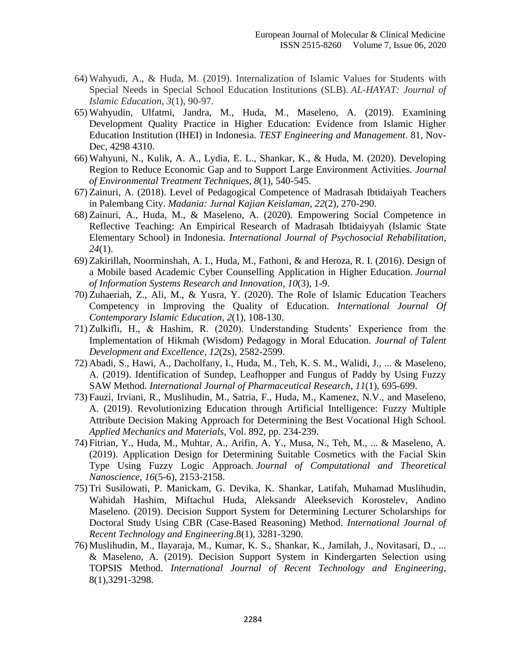- 64) Wahyudi, A., & Huda, M. (2019). Internalization of Islamic Values for Students with Special Needs in Special School Education Institutions (SLB). *AL-HAYAT: Journal of Islamic Education*, *3*(1), 90-97.
- 65) Wahyudin, Ulfatmi, Jandra, M., Huda, M., Maseleno, A. (2019). Examining Development Quality Practice in Higher Education: Evidence from Islamic Higher Education Institution (IHEI) in Indonesia. *TEST Engineering and Management*. 81, Nov-Dec, 4298 4310.
- 66) Wahyuni, N., Kulik, A. A., Lydia, E. L., Shankar, K., & Huda, M. (2020). Developing Region to Reduce Economic Gap and to Support Large Environment Activities. *Journal of Environmental Treatment Techniques*, *8*(1), 540-545.
- 67) Zainuri, A. (2018). Level of Pedagogical Competence of Madrasah Ibtidaiyah Teachers in Palembang City. *Madania: Jurnal Kajian Keislaman*, *22*(2), 270-290.
- 68) Zainuri, A., Huda, M., & Maseleno, A. (2020). Empowering Social Competence in Reflective Teaching: An Empirical Research of Madrasah Ibtidaiyyah (Islamic State Elementary School) in Indonesia. *International Journal of Psychosocial Rehabilitation*, *24*(1).
- 69) Zakirillah, Noorminshah, A. I., Huda, M., Fathoni, & and Heroza, R. I. (2016). Design of a Mobile based Academic Cyber Counselling Application in Higher Education. *Journal of Information Systems Research and Innovation*, *10*(3), 1-9.
- 70) Zuhaeriah, Z., Ali, M., & Yusra, Y. (2020). The Role of Islamic Education Teachers Competency in Improving the Quality of Education. *International Journal Of Contemporary Islamic Education*, *2*(1), 108-130.
- 71) Zulkifli, H., & Hashim, R. (2020). Understanding Students' Experience from the Implementation of Hikmah (Wisdom) Pedagogy in Moral Education. *Journal of Talent Development and Excellence*, *12*(2s), 2582-2599.
- 72) Abadi, S., Hawi, A., Dacholfany, I., Huda, M., Teh, K. S. M., Walidi, J., ... & Maseleno, A. (2019). Identification of Sundep, Leafhopper and Fungus of Paddy by Using Fuzzy SAW Method. *International Journal of Pharmaceutical Research*, *11*(1), 695-699.
- 73) Fauzi, Irviani, R., Muslihudin, M., Satria, F., Huda, M., Kamenez, N.V., and Maseleno, A. (2019). Revolutionizing Education through Artificial Intelligence: Fuzzy Multiple Attribute Decision Making Approach for Determining the Best Vocational High School. *Applied Mechanics and Materials*, Vol. 892, pp. 234-239.
- 74) Fitrian, Y., Huda, M., Muhtar, A., Arifin, A. Y., Musa, N., Teh, M., ... & Maseleno, A. (2019). Application Design for Determining Suitable Cosmetics with the Facial Skin Type Using Fuzzy Logic Approach. *Journal of Computational and Theoretical Nanoscience*, *16*(5-6), 2153-2158.
- 75) Tri Susilowati, P. Manickam, G. Devika, K. Shankar, Latifah, Muhamad Muslihudin, Wahidah Hashim, Miftachul Huda, Aleksandr Aleeksevich Korostelev, Andino Maseleno. (2019). Decision Support System for Determining Lecturer Scholarships for Doctoral Study Using CBR (Case-Based Reasoning) Method. *International Journal of Recent Technology and Engineering*.8(1), 3281-3290.
- 76) Muslihudin, M., Ilayaraja, M., Kumar, K. S., Shankar, K., Jamilah, J., Novitasari, D., ... & Maseleno, A. (2019). Decision Support System in Kindergarten Selection using TOPSIS Method. *International Journal of Recent Technology and Engineering*, 8(1),3291-3298.